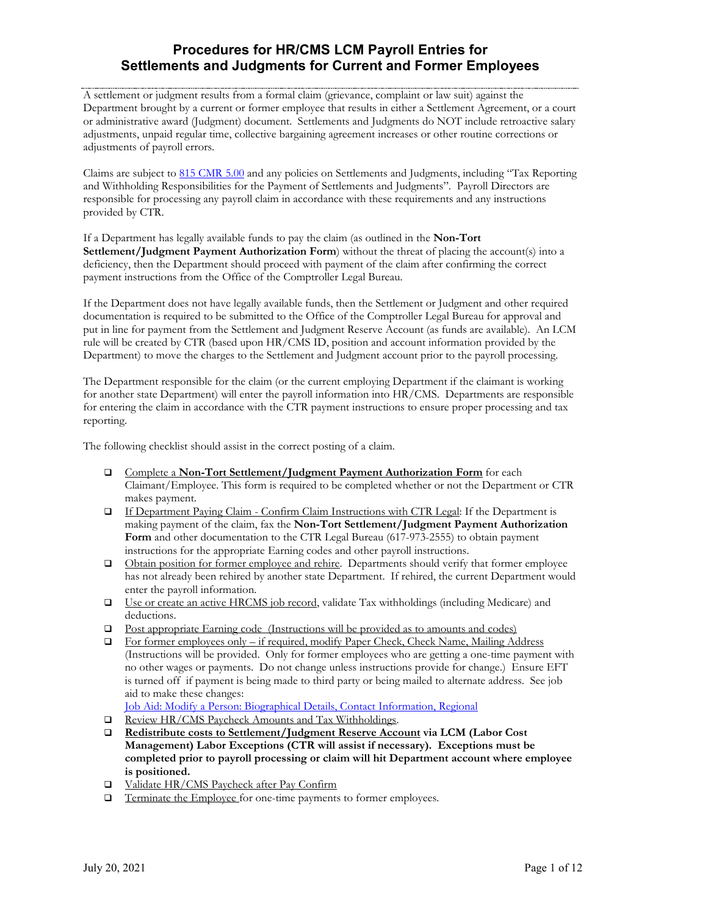A settlement or judgment results from a formal claim (grievance, complaint or law suit) against the Department brought by a current or former employee that results in either a Settlement Agreement, or a court or administrative award (Judgment) document. Settlements and Judgments do NOT include retroactive salary adjustments, unpaid regular time, collective bargaining agreement increases or other routine corrections or adjustments of payroll errors.

Claims are subject to [815 CMR 5.00](http://www.state.ma.us/osc/Regs/Regs.html) and any policies on Settlements and Judgments, including "Tax Reporting and Withholding Responsibilities for the Payment of Settlements and Judgments". Payroll Directors are responsible for processing any payroll claim in accordance with these requirements and any instructions provided by CTR.

If a Department has legally available funds to pay the claim (as outlined in the **Non-Tort Settlement/Judgment Payment Authorization Form**) without the threat of placing the account(s) into a deficiency, then the Department should proceed with payment of the claim after confirming the correct payment instructions from the Office of the Comptroller Legal Bureau.

If the Department does not have legally available funds, then the Settlement or Judgment and other required documentation is required to be submitted to the Office of the Comptroller Legal Bureau for approval and put in line for payment from the Settlement and Judgment Reserve Account (as funds are available). An LCM rule will be created by CTR (based upon HR/CMS ID, position and account information provided by the Department) to move the charges to the Settlement and Judgment account prior to the payroll processing.

The Department responsible for the claim (or the current employing Department if the claimant is working for another state Department) will enter the payroll information into HR/CMS. Departments are responsible for entering the claim in accordance with the CTR payment instructions to ensure proper processing and tax reporting.

The following checklist should assist in the correct posting of a claim.

- Complete a **Non-Tort Settlement/Judgment Payment Authorization Form** for each Claimant/Employee. This form is required to be completed whether or not the Department or CTR makes payment.
- If Department Paying Claim Confirm Claim Instructions with CTR Legal: If the Department is making payment of the claim, fax the **Non-Tort Settlement/Judgment Payment Authorization Form** and other documentation to the CTR Legal Bureau (617-973-2555) to obtain payment instructions for the appropriate Earning codes and other payroll instructions.
- Obtain position for former employee and rehire. Departments should verify that former employee has not already been rehired by another state Department. If rehired, the current Department would enter the payroll information.
- □ Use or create an active HRCMS job record, validate Tax withholdings (including Medicare) and deductions.
- Post appropriate Earning code (Instructions will be provided as to amounts and codes)
- □ For former employees only if required, modify Paper Check, Check Name, Mailing Address (Instructions will be provided. Only for former employees who are getting a one-time payment with no other wages or payments. Do not change unless instructions provide for change.) Ensure EFT is turned off if payment is being made to third party or being mailed to alternate address. See job aid to make these changes:

[Job Aid: Modify a Person: Biographical Details, Contact Information, Regional](https://powerdms.com/docs/2194549)

- Review HR/CMS Paycheck Amounts and Tax Withholdings.
- **Redistribute costs to Settlement/Judgment Reserve Account via LCM (Labor Cost Management) Labor Exceptions (CTR will assist if necessary). Exceptions must be completed prior to payroll processing or claim will hit Department account where employee is positioned.**
- □ Validate HR/CMS Paycheck after Pay Confirm
- $\Box$  Terminate the Employee for one-time payments to former employees.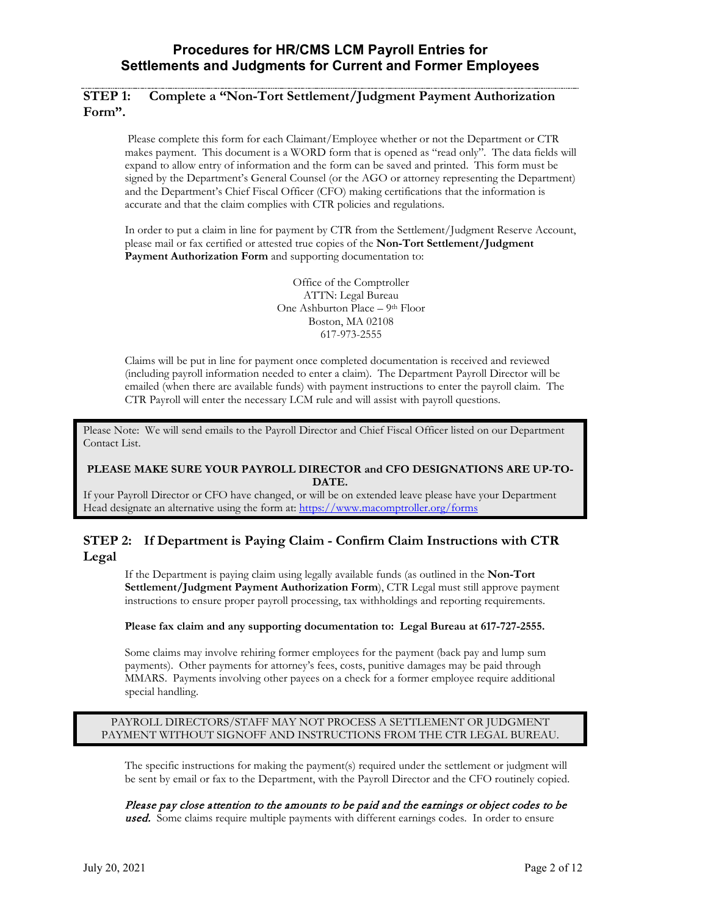### **STEP 1: Complete a "Non-Tort Settlement/Judgment Payment Authorization Form".**

Please complete this form for each Claimant/Employee whether or not the Department or CTR makes payment. This document is a WORD form that is opened as "read only". The data fields will expand to allow entry of information and the form can be saved and printed. This form must be signed by the Department's General Counsel (or the AGO or attorney representing the Department) and the Department's Chief Fiscal Officer (CFO) making certifications that the information is accurate and that the claim complies with CTR policies and regulations.

In order to put a claim in line for payment by CTR from the Settlement/Judgment Reserve Account, please mail or fax certified or attested true copies of the **Non-Tort Settlement/Judgment Payment Authorization Form** and supporting documentation to:

> Office of the Comptroller ATTN: Legal Bureau One Ashburton Place – 9th Floor Boston, MA 02108 617-973-2555

Claims will be put in line for payment once completed documentation is received and reviewed (including payroll information needed to enter a claim). The Department Payroll Director will be emailed (when there are available funds) with payment instructions to enter the payroll claim. The CTR Payroll will enter the necessary LCM rule and will assist with payroll questions.

Please Note: We will send emails to the Payroll Director and Chief Fiscal Officer listed on our Department Contact List.

#### **PLEASE MAKE SURE YOUR PAYROLL DIRECTOR and CFO DESIGNATIONS ARE UP-TO-DATE.**

If your Payroll Director or CFO have changed, or will be on extended leave please have your Department Head designate an alternative using the form at:<https://www.macomptroller.org/forms>

## **STEP 2: If Department is Paying Claim - Confirm Claim Instructions with CTR Legal**

If the Department is paying claim using legally available funds (as outlined in the **Non-Tort Settlement/Judgment Payment Authorization Form**), CTR Legal must still approve payment instructions to ensure proper payroll processing, tax withholdings and reporting requirements.

#### **Please fax claim and any supporting documentation to: Legal Bureau at 617-727-2555.**

Some claims may involve rehiring former employees for the payment (back pay and lump sum payments). Other payments for attorney's fees, costs, punitive damages may be paid through MMARS. Payments involving other payees on a check for a former employee require additional special handling.

#### PAYROLL DIRECTORS/STAFF MAY NOT PROCESS A SETTLEMENT OR JUDGMENT PAYMENT WITHOUT SIGNOFF AND INSTRUCTIONS FROM THE CTR LEGAL BUREAU.

The specific instructions for making the payment(s) required under the settlement or judgment will be sent by email or fax to the Department, with the Payroll Director and the CFO routinely copied.

Please pay close attention to the amounts to be paid and the earnings or object codes to be used. Some claims require multiple payments with different earnings codes. In order to ensure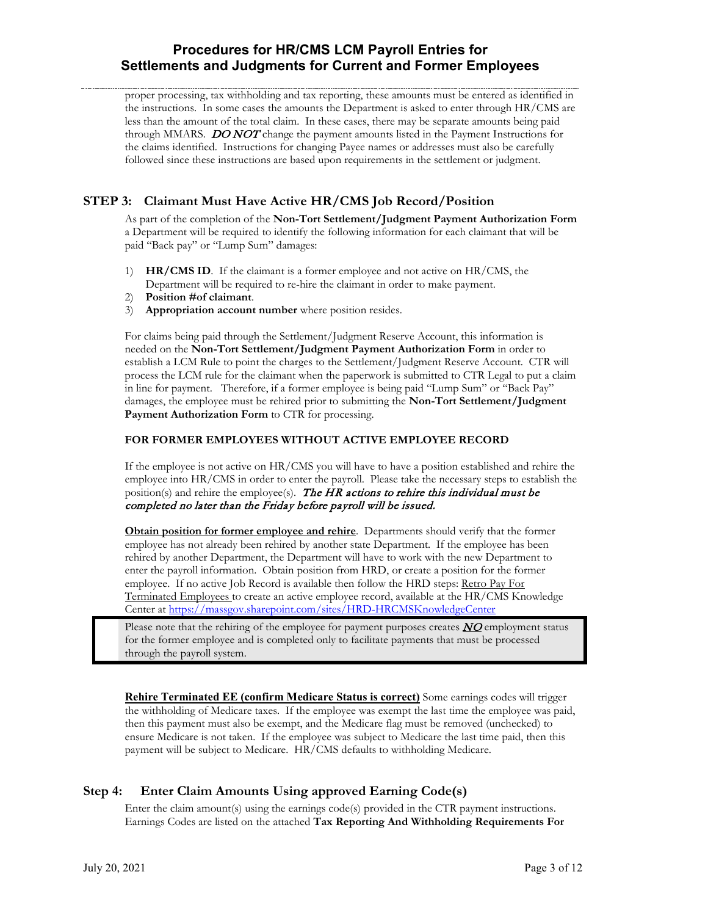proper processing, tax withholding and tax reporting, these amounts must be entered as identified in the instructions. In some cases the amounts the Department is asked to enter through HR/CMS are less than the amount of the total claim. In these cases, there may be separate amounts being paid through MMARS. DO NOT change the payment amounts listed in the Payment Instructions for the claims identified. Instructions for changing Payee names or addresses must also be carefully followed since these instructions are based upon requirements in the settlement or judgment.

# **STEP 3: Claimant Must Have Active HR/CMS Job Record/Position**

As part of the completion of the **Non-Tort Settlement/Judgment Payment Authorization Form** a Department will be required to identify the following information for each claimant that will be paid "Back pay" or "Lump Sum" damages:

- 1) **HR/CMS ID**. If the claimant is a former employee and not active on HR/CMS, the Department will be required to re-hire the claimant in order to make payment.
- 2) **Position #of claimant**.
- 3) **Appropriation account number** where position resides.

For claims being paid through the Settlement/Judgment Reserve Account, this information is needed on the **Non-Tort Settlement/Judgment Payment Authorization Form** in order to establish a LCM Rule to point the charges to the Settlement/Judgment Reserve Account. CTR will process the LCM rule for the claimant when the paperwork is submitted to CTR Legal to put a claim in line for payment. Therefore, if a former employee is being paid "Lump Sum" or "Back Pay" damages, the employee must be rehired prior to submitting the **Non-Tort Settlement/Judgment Payment Authorization Form** to CTR for processing.

### **FOR FORMER EMPLOYEES WITHOUT ACTIVE EMPLOYEE RECORD**

If the employee is not active on HR/CMS you will have to have a position established and rehire the employee into HR/CMS in order to enter the payroll. Please take the necessary steps to establish the position(s) and rehire the employee(s). The HR actions to rehire this individual must be completed no later than the Friday before payroll will be issued.

**Obtain position for former employee and rehire**. Departments should verify that the former employee has not already been rehired by another state Department. If the employee has been rehired by another Department, the Department will have to work with the new Department to enter the payroll information. Obtain position from HRD, or create a position for the former employee. If no active Job Record is available then follow the HRD steps: Retro Pay For Terminated Employees to create an active employee record, available at the HR/CMS Knowledge Center at<https://massgov.sharepoint.com/sites/HRD-HRCMSKnowledgeCenter>

Please note that the rehiring of the employee for payment purposes creates  $NQ$  employment status for the former employee and is completed only to facilitate payments that must be processed through the payroll system.

**Rehire Terminated EE (confirm Medicare Status is correct)** Some earnings codes will trigger the withholding of Medicare taxes. If the employee was exempt the last time the employee was paid, then this payment must also be exempt, and the Medicare flag must be removed (unchecked) to ensure Medicare is not taken. If the employee was subject to Medicare the last time paid, then this payment will be subject to Medicare. HR/CMS defaults to withholding Medicare.

## **Step 4: Enter Claim Amounts Using approved Earning Code(s)**

Enter the claim amount(s) using the earnings code(s) provided in the CTR payment instructions. Earnings Codes are listed on the attached **Tax Reporting And Withholding Requirements For**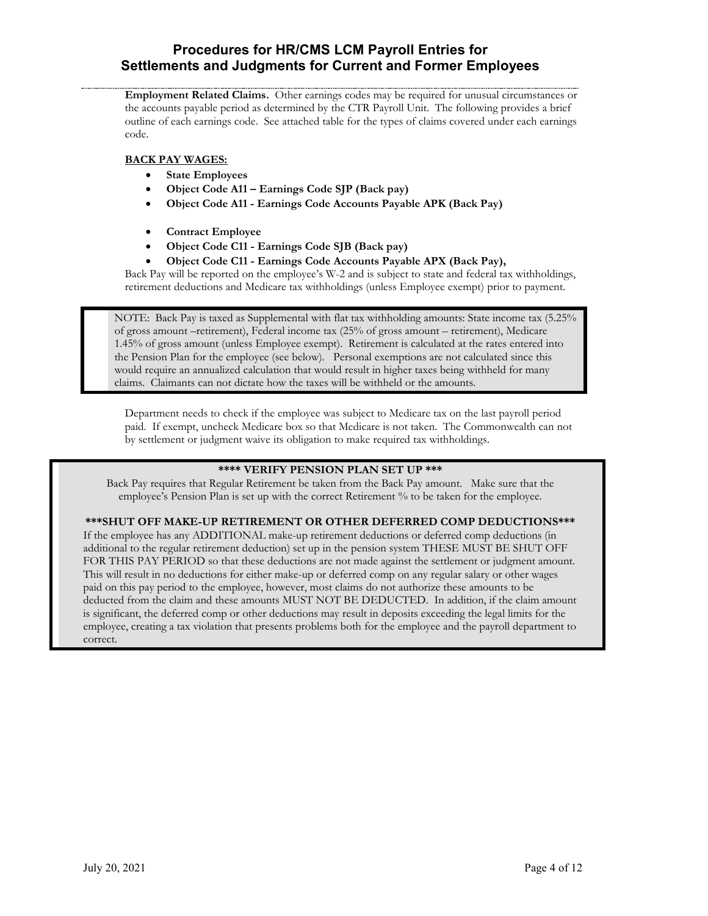**Employment Related Claims.** Other earnings codes may be required for unusual circumstances or the accounts payable period as determined by the CTR Payroll Unit. The following provides a brief outline of each earnings code. See attached table for the types of claims covered under each earnings code.

### **BACK PAY WAGES:**

- **State Employees**
- **Object Code A11 – Earnings Code SJP (Back pay)**
- **Object Code A11 - Earnings Code Accounts Payable APK (Back Pay)**
- **Contract Employee**
- **Object Code C11 - Earnings Code SJB (Back pay)**
- **Object Code C11 - Earnings Code Accounts Payable APX (Back Pay),**

Back Pay will be reported on the employee's W-2 and is subject to state and federal tax withholdings, retirement deductions and Medicare tax withholdings (unless Employee exempt) prior to payment.

NOTE: Back Pay is taxed as Supplemental with flat tax withholding amounts: State income tax (5.25% of gross amount –retirement), Federal income tax (25% of gross amount – retirement), Medicare 1.45% of gross amount (unless Employee exempt). Retirement is calculated at the rates entered into the Pension Plan for the employee (see below). Personal exemptions are not calculated since this would require an annualized calculation that would result in higher taxes being withheld for many claims. Claimants can not dictate how the taxes will be withheld or the amounts.

Department needs to check if the employee was subject to Medicare tax on the last payroll period paid. If exempt, uncheck Medicare box so that Medicare is not taken. The Commonwealth can not by settlement or judgment waive its obligation to make required tax withholdings.

### **\*\*\*\* VERIFY PENSION PLAN SET UP \*\*\***

Back Pay requires that Regular Retirement be taken from the Back Pay amount. Make sure that the employee's Pension Plan is set up with the correct Retirement % to be taken for the employee.

### **\*\*\*SHUT OFF MAKE-UP RETIREMENT OR OTHER DEFERRED COMP DEDUCTIONS\*\*\***

If the employee has any ADDITIONAL make-up retirement deductions or deferred comp deductions (in additional to the regular retirement deduction) set up in the pension system THESE MUST BE SHUT OFF FOR THIS PAY PERIOD so that these deductions are not made against the settlement or judgment amount. This will result in no deductions for either make-up or deferred comp on any regular salary or other wages paid on this pay period to the employee, however, most claims do not authorize these amounts to be deducted from the claim and these amounts MUST NOT BE DEDUCTED. In addition, if the claim amount is significant, the deferred comp or other deductions may result in deposits exceeding the legal limits for the employee, creating a tax violation that presents problems both for the employee and the payroll department to correct.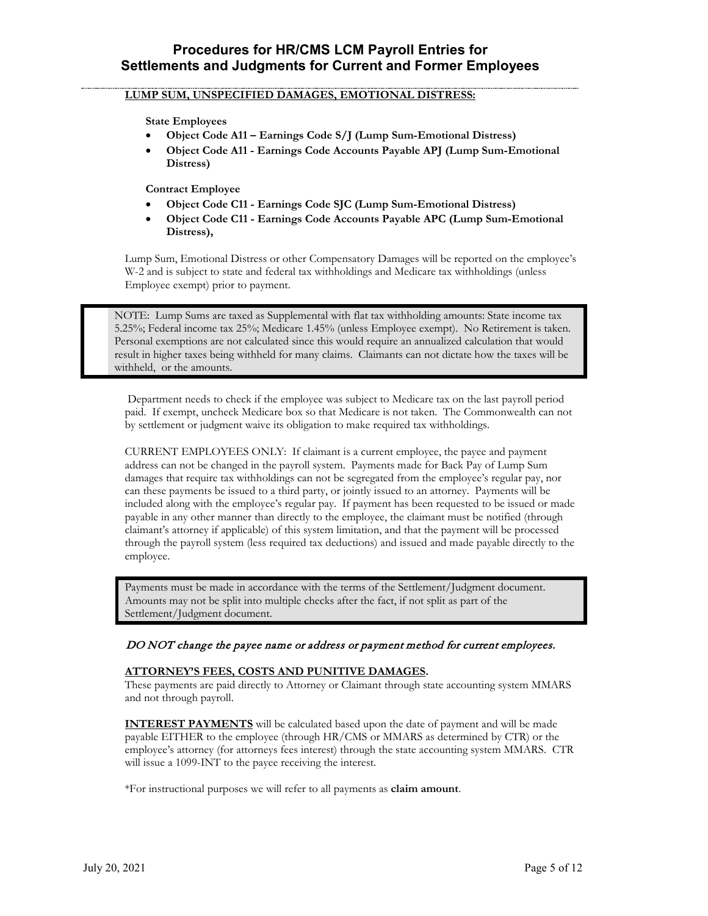### **LUMP SUM, UNSPECIFIED DAMAGES, EMOTIONAL DISTRESS:**

**State Employees**

- **Object Code A11 – Earnings Code S/J (Lump Sum-Emotional Distress)**
- **Object Code A11 - Earnings Code Accounts Payable APJ (Lump Sum-Emotional Distress)**

**Contract Employee**

- **Object Code C11 - Earnings Code SJC (Lump Sum-Emotional Distress)**
- **Object Code C11 - Earnings Code Accounts Payable APC (Lump Sum-Emotional Distress),**

Lump Sum, Emotional Distress or other Compensatory Damages will be reported on the employee's W-2 and is subject to state and federal tax withholdings and Medicare tax withholdings (unless Employee exempt) prior to payment.

NOTE: Lump Sums are taxed as Supplemental with flat tax withholding amounts: State income tax 5.25%; Federal income tax 25%; Medicare 1.45% (unless Employee exempt). No Retirement is taken. Personal exemptions are not calculated since this would require an annualized calculation that would result in higher taxes being withheld for many claims. Claimants can not dictate how the taxes will be withheld, or the amounts.

Department needs to check if the employee was subject to Medicare tax on the last payroll period paid. If exempt, uncheck Medicare box so that Medicare is not taken. The Commonwealth can not by settlement or judgment waive its obligation to make required tax withholdings.

CURRENT EMPLOYEES ONLY: If claimant is a current employee, the payee and payment address can not be changed in the payroll system. Payments made for Back Pay of Lump Sum damages that require tax withholdings can not be segregated from the employee's regular pay, nor can these payments be issued to a third party, or jointly issued to an attorney. Payments will be included along with the employee's regular pay. If payment has been requested to be issued or made payable in any other manner than directly to the employee, the claimant must be notified (through claimant's attorney if applicable) of this system limitation, and that the payment will be processed through the payroll system (less required tax deductions) and issued and made payable directly to the employee.

Payments must be made in accordance with the terms of the Settlement/Judgment document. Amounts may not be split into multiple checks after the fact, if not split as part of the Settlement/Judgment document.

### DO NOT change the payee name or address or payment method for current employees.

### **ATTORNEY'S FEES, COSTS AND PUNITIVE DAMAGES.**

These payments are paid directly to Attorney or Claimant through state accounting system MMARS and not through payroll.

**INTEREST PAYMENTS** will be calculated based upon the date of payment and will be made payable EITHER to the employee (through HR/CMS or MMARS as determined by CTR) or the employee's attorney (for attorneys fees interest) through the state accounting system MMARS. CTR will issue a 1099-INT to the payee receiving the interest.

\*For instructional purposes we will refer to all payments as **claim amount**.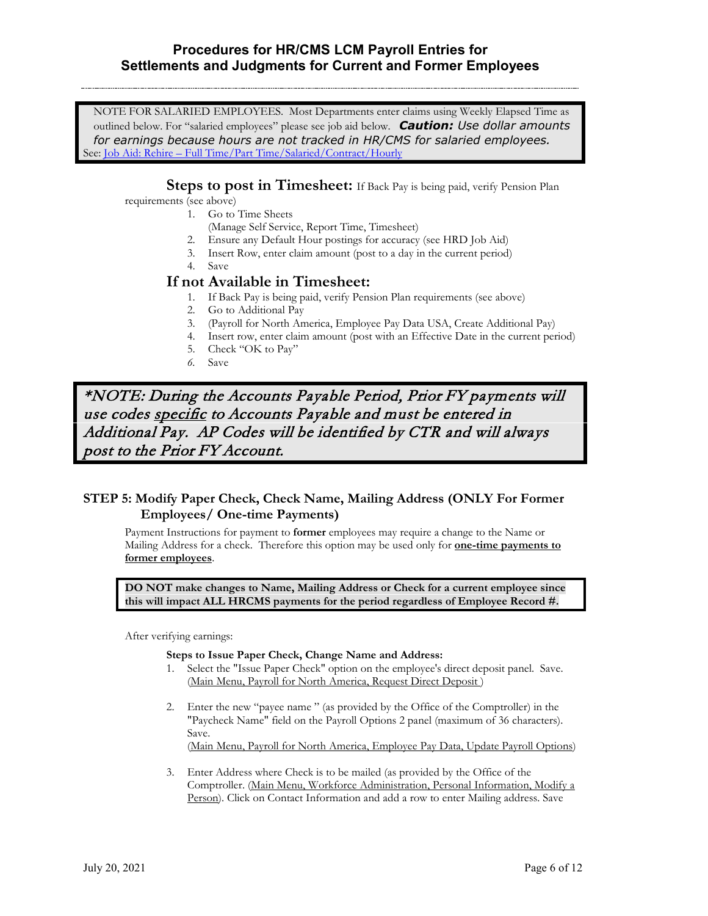NOTE FOR SALARIED EMPLOYEES. Most Departments enter claims using Weekly Elapsed Time as outlined below. For "salaried employees" please see job aid below. *Caution: Use dollar amounts for earnings because hours are not tracked in HR/CMS for salaried employees.* See: <u>Job Aid: Rehire – [Full Time/Part Time/Salaried/Contract/Hourly](https://powerdms.com/docs/2194838)</u>

**Steps to post in Timesheet:** If Back Pay is being paid, verify Pension Plan

requirements (see above)

- 1. Go to Time Sheets
- (Manage Self Service, Report Time, Timesheet)
- 2. Ensure any Default Hour postings for accuracy (see HRD Job Aid)
- 3. Insert Row, enter claim amount (post to a day in the current period)
- 4. Save

# **If not Available in Timesheet:**

- 1. If Back Pay is being paid, verify Pension Plan requirements (see above)
- 2. Go to Additional Pay
- 3. (Payroll for North America, Employee Pay Data USA, Create Additional Pay)
- 4. Insert row, enter claim amount (post with an Effective Date in the current period)
- 5. Check "OK to Pay"
- *6.* Save

\*NOTE: During the Accounts Payable Period, Prior FY payments will use codes specific to Accounts Payable and must be entered in Additional Pay. AP Codes will be identified by CTR and will always post to the Prior FY Account.

## **STEP 5: Modify Paper Check, Check Name, Mailing Address (ONLY For Former Employees/ One-time Payments)**

Payment Instructions for payment to **former** employees may require a change to the Name or Mailing Address for a check. Therefore this option may be used only for **one-time payments to former employees**.

**DO NOT make changes to Name, Mailing Address or Check for a current employee since this will impact ALL HRCMS payments for the period regardless of Employee Record #.**

After verifying earnings:

### **Steps to Issue Paper Check, Change Name and Address:**

- 1. Select the "Issue Paper Check" option on the employee's direct deposit panel. Save. (Main Menu, Payroll for North America, Request Direct Deposit )
- 2. Enter the new "payee name " (as provided by the Office of the Comptroller) in the "Paycheck Name" field on the Payroll Options 2 panel (maximum of 36 characters). Save.

(Main Menu, Payroll for North America, Employee Pay Data, Update Payroll Options)

3. Enter Address where Check is to be mailed (as provided by the Office of the Comptroller. (Main Menu, Workforce Administration, Personal Information, Modify a Person). Click on Contact Information and add a row to enter Mailing address. Save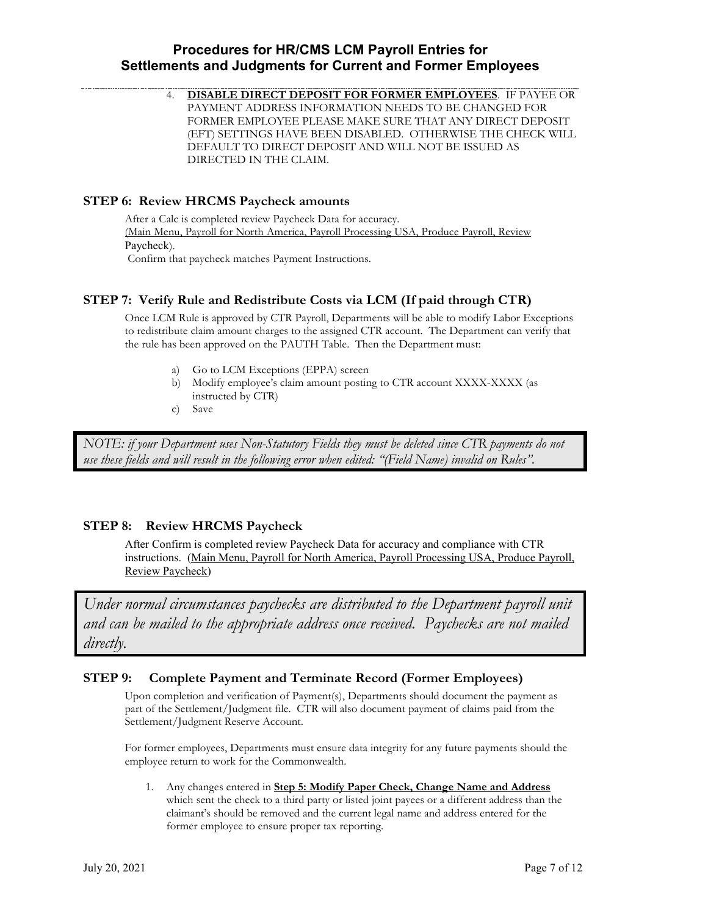4. **DISABLE DIRECT DEPOSIT FOR FORMER EMPLOYEES**. IF PAYEE OR PAYMENT ADDRESS INFORMATION NEEDS TO BE CHANGED FOR FORMER EMPLOYEE PLEASE MAKE SURE THAT ANY DIRECT DEPOSIT (EFT) SETTINGS HAVE BEEN DISABLED. OTHERWISE THE CHECK WILL DEFAULT TO DIRECT DEPOSIT AND WILL NOT BE ISSUED AS DIRECTED IN THE CLAIM.

### **STEP 6: Review HRCMS Paycheck amounts**

After a Calc is completed review Paycheck Data for accuracy. (Main Menu, Payroll for North America, Payroll Processing USA, Produce Payroll, Review Paycheck). Confirm that paycheck matches Payment Instructions.

### **STEP 7: Verify Rule and Redistribute Costs via LCM (If paid through CTR)**

Once LCM Rule is approved by CTR Payroll, Departments will be able to modify Labor Exceptions to redistribute claim amount charges to the assigned CTR account. The Department can verify that the rule has been approved on the PAUTH Table. Then the Department must:

- a) Go to LCM Exceptions (EPPA) screen
- b) Modify employee's claim amount posting to CTR account XXXX-XXXX (as instructed by CTR)
- c) Save

*NOTE: if your Department uses Non-Statutory Fields they must be deleted since CTR payments do not use these fields and will result in the following error when edited: "(Field Name) invalid on Rules".*

### **STEP 8: Review HRCMS Paycheck**

After Confirm is completed review Paycheck Data for accuracy and compliance with CTR instructions. (Main Menu, Payroll for North America, Payroll Processing USA, Produce Payroll, Review Paycheck)

*Under normal circumstances paychecks are distributed to the Department payroll unit and can be mailed to the appropriate address once received. Paychecks are not mailed directly.*

### **STEP 9: Complete Payment and Terminate Record (Former Employees)**

Upon completion and verification of Payment(s), Departments should document the payment as part of the Settlement/Judgment file. CTR will also document payment of claims paid from the Settlement/Judgment Reserve Account.

For former employees, Departments must ensure data integrity for any future payments should the employee return to work for the Commonwealth.

1. Any changes entered in **Step 5: Modify Paper Check, Change Name and Address** which sent the check to a third party or listed joint payees or a different address than the claimant's should be removed and the current legal name and address entered for the former employee to ensure proper tax reporting.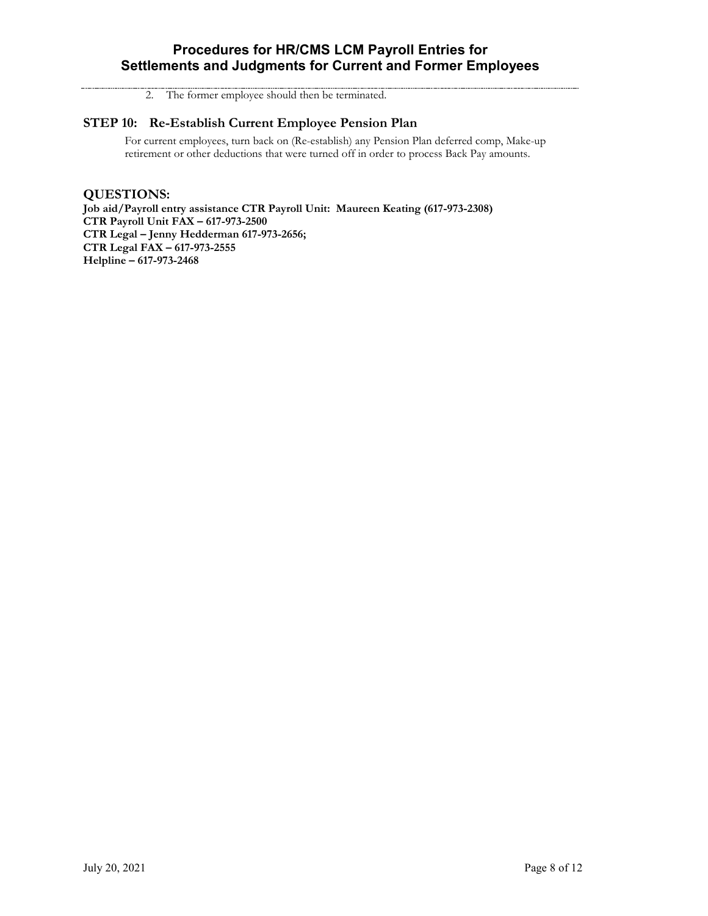2. The former employee should then be terminated.

### **STEP 10: Re-Establish Current Employee Pension Plan**

For current employees, turn back on (Re-establish) any Pension Plan deferred comp, Make-up retirement or other deductions that were turned off in order to process Back Pay amounts.

**QUESTIONS:** 

**Job aid/Payroll entry assistance CTR Payroll Unit: Maureen Keating (617-973-2308) CTR Payroll Unit FAX – 617-973-2500 CTR Legal – Jenny Hedderman 617-973-2656; CTR Legal FAX – 617-973-2555 Helpline – 617-973-2468**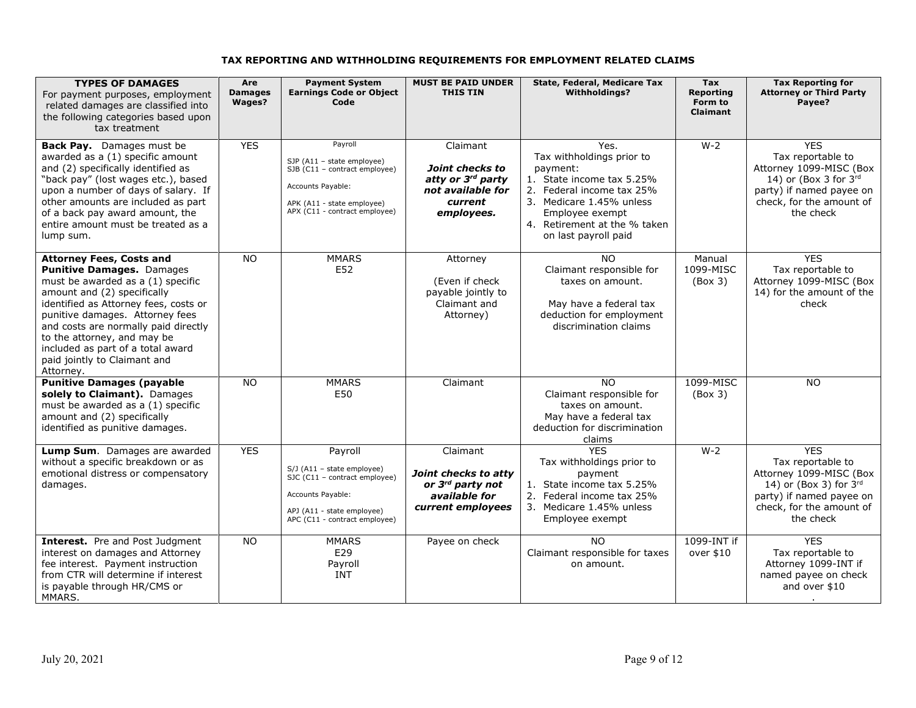# **TAX REPORTING AND WITHHOLDING REQUIREMENTS FOR EMPLOYMENT RELATED CLAIMS**

| <b>TYPES OF DAMAGES</b><br>For payment purposes, employment<br>related damages are classified into<br>the following categories based upon<br>tax treatment                                                                                                                                                                                                            | Are<br><b>Damages</b><br>Wages? | <b>Payment System</b><br><b>Earnings Code or Object</b><br>Code                                                                                              | <b>MUST BE PAID UNDER</b><br><b>THIS TIN</b>                                                           | State, Federal, Medicare Tax<br><b>Withholdinas?</b>                                                                                                                                                           | Tax<br><b>Reporting</b><br>Form to<br><b>Claimant</b> | <b>Tax Reporting for</b><br><b>Attorney or Third Party</b><br>Payee?                                                                                                  |
|-----------------------------------------------------------------------------------------------------------------------------------------------------------------------------------------------------------------------------------------------------------------------------------------------------------------------------------------------------------------------|---------------------------------|--------------------------------------------------------------------------------------------------------------------------------------------------------------|--------------------------------------------------------------------------------------------------------|----------------------------------------------------------------------------------------------------------------------------------------------------------------------------------------------------------------|-------------------------------------------------------|-----------------------------------------------------------------------------------------------------------------------------------------------------------------------|
| Back Pay. Damages must be<br>awarded as a (1) specific amount<br>and (2) specifically identified as<br>"back pay" (lost wages etc.), based<br>upon a number of days of salary. If<br>other amounts are included as part<br>of a back pay award amount, the<br>entire amount must be treated as a<br>lump sum.                                                         | <b>YES</b>                      | Payroll<br>SJP (A11 - state employee)<br>$SJB$ (C11 - contract employee)<br>Accounts Payable:<br>APK (A11 - state employee)<br>APX (C11 - contract employee) | Claimant<br>Joint checks to<br>atty or 3rd party<br>not available for<br>current<br>employees.         | Yes.<br>Tax withholdings prior to<br>payment:<br>1. State income tax 5.25%<br>2. Federal income tax 25%<br>3. Medicare 1.45% unless<br>Employee exempt<br>4. Retirement at the % taken<br>on last payroll paid | $W-2$                                                 | <b>YES</b><br>Tax reportable to<br>Attorney 1099-MISC (Box<br>14) or (Box 3 for $3rd$<br>party) if named payee on<br>check, for the amount of<br>the check            |
| <b>Attorney Fees, Costs and</b><br>Punitive Damages. Damages<br>must be awarded as a (1) specific<br>amount and (2) specifically<br>identified as Attorney fees, costs or<br>punitive damages. Attorney fees<br>and costs are normally paid directly<br>to the attorney, and may be<br>included as part of a total award<br>paid jointly to Claimant and<br>Attorney. | <b>NO</b>                       | <b>MMARS</b><br>E52                                                                                                                                          | Attorney<br>(Even if check<br>payable jointly to<br>Claimant and<br>Attorney)                          | <b>NO</b><br>Claimant responsible for<br>taxes on amount.<br>May have a federal tax<br>deduction for employment<br>discrimination claims                                                                       | Manual<br>1099-MISC<br>(Box 3)                        | <b>YES</b><br>Tax reportable to<br>Attorney 1099-MISC (Box<br>14) for the amount of the<br>check                                                                      |
| <b>Punitive Damages (payable</b><br>solely to Claimant). Damages<br>must be awarded as a (1) specific<br>amount and (2) specifically<br>identified as punitive damages.                                                                                                                                                                                               | <b>NO</b>                       | <b>MMARS</b><br>E50                                                                                                                                          | Claimant                                                                                               | <b>NO</b><br>Claimant responsible for<br>taxes on amount.<br>May have a federal tax<br>deduction for discrimination<br>claims                                                                                  | 1099-MISC<br>(Box 3)                                  | <b>NO</b>                                                                                                                                                             |
| Lump Sum. Damages are awarded<br>without a specific breakdown or as<br>emotional distress or compensatory<br>damages.                                                                                                                                                                                                                                                 | <b>YES</b>                      | Payroll<br>$S/J$ (A11 - state employee)<br>SJC (C11 - contract employee)<br>Accounts Payable:<br>APJ (A11 - state employee)<br>APC (C11 - contract employee) | Claimant<br>Joint checks to atty<br>or 3 <sup>rd</sup> party not<br>available for<br>current employees | <b>YES</b><br>Tax withholdings prior to<br>payment<br>1. State income tax 5.25%<br>2. Federal income tax 25%<br>3. Medicare 1.45% unless<br>Employee exempt                                                    | $W-2$                                                 | <b>YES</b><br>Tax reportable to<br>Attorney 1099-MISC (Box<br>14) or (Box 3) for $3^{\text{rd}}$<br>party) if named payee on<br>check, for the amount of<br>the check |
| Interest. Pre and Post Judgment<br>interest on damages and Attorney<br>fee interest. Payment instruction<br>from CTR will determine if interest<br>is payable through HR/CMS or<br>MMARS.                                                                                                                                                                             | <b>NO</b>                       | <b>MMARS</b><br>E29<br>Payroll<br><b>INT</b>                                                                                                                 | Payee on check                                                                                         | NO.<br>Claimant responsible for taxes<br>on amount.                                                                                                                                                            | 1099-INT if<br>over \$10                              | <b>YES</b><br>Tax reportable to<br>Attorney 1099-INT if<br>named payee on check<br>and over \$10                                                                      |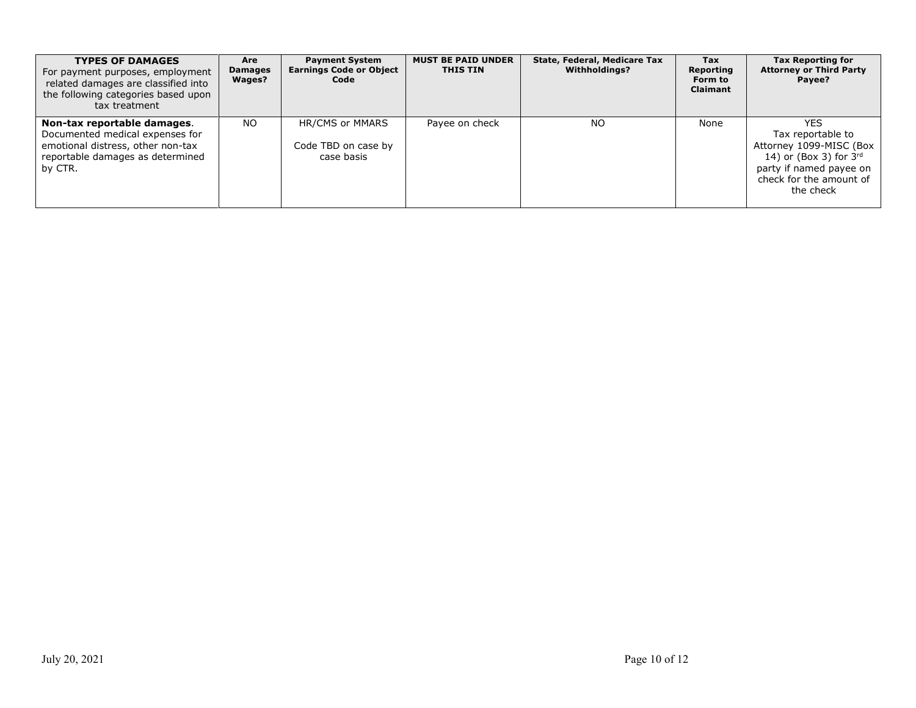| <b>TYPES OF DAMAGES</b><br>For payment purposes, employment<br>related damages are classified into<br>the following categories based upon<br>tax treatment | Are<br><b>Damages</b><br>Wages? | <b>Payment System</b><br><b>Earnings Code or Object</b><br>Code | <b>MUST BE PAID UNDER</b><br><b>THIS TIN</b> | State, Federal, Medicare Tax<br><b>Withholdinas?</b> | Tax<br>Reporting<br>Form to<br><b>Claimant</b> | <b>Tax Reporting for</b><br><b>Attorney or Third Party</b><br>Payee?                                                                                                |
|------------------------------------------------------------------------------------------------------------------------------------------------------------|---------------------------------|-----------------------------------------------------------------|----------------------------------------------|------------------------------------------------------|------------------------------------------------|---------------------------------------------------------------------------------------------------------------------------------------------------------------------|
| Non-tax reportable damages.<br>Documented medical expenses for<br>emotional distress, other non-tax<br>reportable damages as determined<br>by CTR.         | NO.                             | HR/CMS or MMARS<br>Code TBD on case by<br>case basis            | Payee on check                               | NO.                                                  | None                                           | <b>YES</b><br>Tax reportable to<br>Attorney 1099-MISC (Box<br>14) or (Box 3) for $3^{\text{rd}}$<br>party if named payee on<br>check for the amount of<br>the check |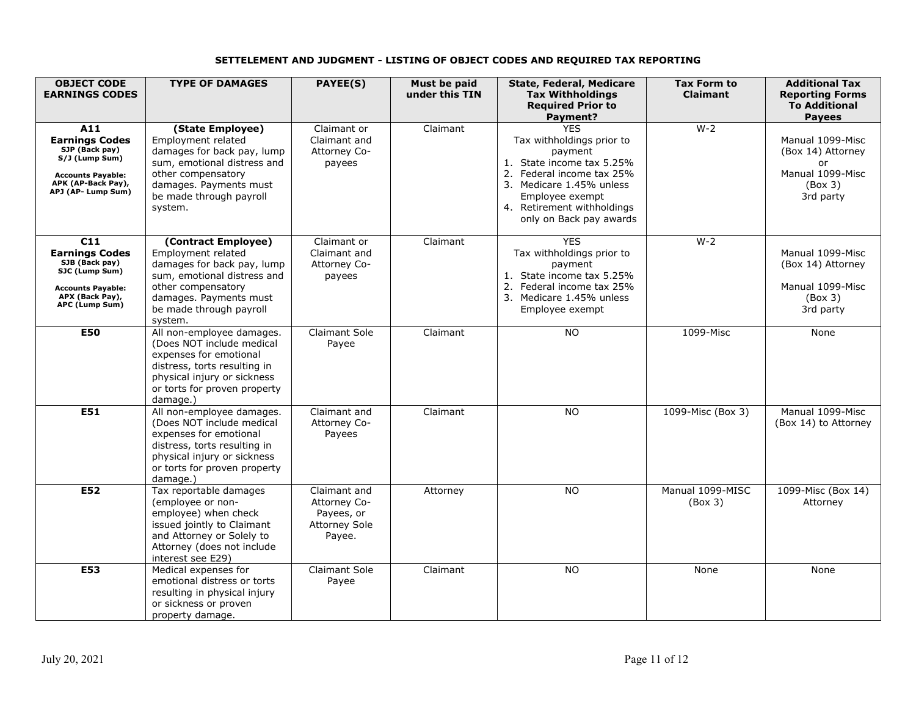### **SETTELEMENT AND JUDGMENT - LISTING OF OBJECT CODES AND REQUIRED TAX REPORTING**

| <b>OBJECT CODE</b><br><b>EARNINGS CODES</b>                                                                                              | <b>TYPE OF DAMAGES</b>                                                                                                                                                                           | PAYEE(S)                                                                     | Must be paid<br>under this TIN | <b>State, Federal, Medicare</b><br><b>Tax Withholdings</b><br><b>Required Prior to</b><br>Payment?                                                                                                                   | <b>Tax Form to</b><br><b>Claimant</b> | <b>Additional Tax</b><br><b>Reporting Forms</b><br><b>To Additional</b><br><b>Payees</b> |
|------------------------------------------------------------------------------------------------------------------------------------------|--------------------------------------------------------------------------------------------------------------------------------------------------------------------------------------------------|------------------------------------------------------------------------------|--------------------------------|----------------------------------------------------------------------------------------------------------------------------------------------------------------------------------------------------------------------|---------------------------------------|------------------------------------------------------------------------------------------|
| A11<br><b>Earnings Codes</b><br>SJP (Back pay)<br>S/J (Lump Sum)<br><b>Accounts Payable:</b><br>APK (AP-Back Pay),<br>APJ (AP- Lump Sum) | (State Employee)<br><b>Employment related</b><br>damages for back pay, lump<br>sum, emotional distress and<br>other compensatory<br>damages. Payments must<br>be made through payroll<br>system. | Claimant or<br>Claimant and<br>Attorney Co-<br>payees                        | Claimant                       | <b>YES</b><br>Tax withholdings prior to<br>payment<br>1. State income tax 5.25%<br>2. Federal income tax 25%<br>3. Medicare 1.45% unless<br>Employee exempt<br>4. Retirement withholdings<br>only on Back pay awards | $W-2$                                 | Manual 1099-Misc<br>(Box 14) Attorney<br>or<br>Manual 1099-Misc<br>(Box 3)<br>3rd party  |
| C11<br><b>Earnings Codes</b><br>SJB (Back pay)<br>SJC (Lump Sum)<br><b>Accounts Payable:</b><br>APX (Back Pay),<br>APC (Lump Sum)        | (Contract Employee)<br>Employment related<br>damages for back pay, lump<br>sum, emotional distress and<br>other compensatory<br>damages. Payments must<br>be made through payroll<br>system.     | Claimant or<br>Claimant and<br>Attorney Co-<br>payees                        | Claimant                       | <b>YES</b><br>Tax withholdings prior to<br>payment<br>1. State income tax 5.25%<br>2. Federal income tax 25%<br>3. Medicare 1.45% unless<br>Employee exempt                                                          | $W-2$                                 | Manual 1099-Misc<br>(Box 14) Attorney<br>Manual 1099-Misc<br>(Box 3)<br>3rd party        |
| <b>E50</b>                                                                                                                               | All non-employee damages.<br>(Does NOT include medical<br>expenses for emotional<br>distress, torts resulting in<br>physical injury or sickness<br>or torts for proven property<br>damage.)      | <b>Claimant Sole</b><br>Payee                                                | Claimant                       | <b>NO</b>                                                                                                                                                                                                            | 1099-Misc                             | None                                                                                     |
| E51                                                                                                                                      | All non-employee damages.<br>(Does NOT include medical<br>expenses for emotional<br>distress, torts resulting in<br>physical injury or sickness<br>or torts for proven property<br>damage.)      | Claimant and<br>Attorney Co-<br>Payees                                       | Claimant                       | <b>NO</b>                                                                                                                                                                                                            | 1099-Misc (Box 3)                     | Manual 1099-Misc<br>(Box 14) to Attorney                                                 |
| E52                                                                                                                                      | Tax reportable damages<br>(employee or non-<br>employee) when check<br>issued jointly to Claimant<br>and Attorney or Solely to<br>Attorney (does not include<br>interest see E29)                | Claimant and<br>Attorney Co-<br>Payees, or<br><b>Attorney Sole</b><br>Payee. | Attorney                       | <b>NO</b>                                                                                                                                                                                                            | Manual 1099-MISC<br>(Box 3)           | 1099-Misc (Box 14)<br>Attorney                                                           |
| <b>E53</b>                                                                                                                               | Medical expenses for<br>emotional distress or torts<br>resulting in physical injury<br>or sickness or proven<br>property damage.                                                                 | <b>Claimant Sole</b><br>Payee                                                | Claimant                       | <b>NO</b>                                                                                                                                                                                                            | None                                  | None                                                                                     |